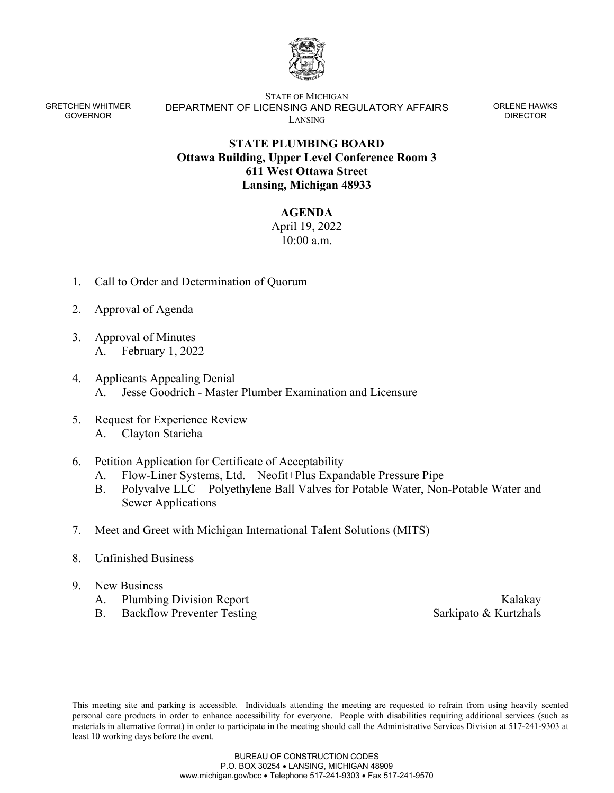

GRETCHEN WHITMER GOVERNOR

STATE OF MICHIGAN DEPARTMENT OF LICENSING AND REGULATORY AFFAIRS LANSING

ORLENE HAWKS DIRECTOR

## **STATE PLUMBING BOARD Ottawa Building, Upper Level Conference Room 3 611 West Ottawa Street Lansing, Michigan 48933**

## **AGENDA**

April 19, 2022 10:00 a.m.

- 1. Call to Order and Determination of Quorum
- 2. Approval of Agenda
- 3. Approval of Minutes A. February 1, 2022
- 4. Applicants Appealing Denial A. Jesse Goodrich - Master Plumber Examination and Licensure
- 5. Request for Experience Review A. Clayton Staricha
- 6. Petition Application for Certificate of Acceptability
	- A. Flow-Liner Systems, Ltd. Neofit+Plus Expandable Pressure Pipe
	- B. Polyvalve LLC Polyethylene Ball Valves for Potable Water, Non-Potable Water and Sewer Applications
- 7. Meet and Greet with Michigan International Talent Solutions (MITS)
- 8. Unfinished Business
- 9. New Business
	- A. Plumbing Division Report Kalakay
	- B. Backflow Preventer Testing Sarkipato & Kurtzhals

This meeting site and parking is accessible. Individuals attending the meeting are requested to refrain from using heavily scented personal care products in order to enhance accessibility for everyone. People with disabilities requiring additional services (such as materials in alternative format) in order to participate in the meeting should call the Administrative Services Division at 517-241-9303 at least 10 working days before the event.